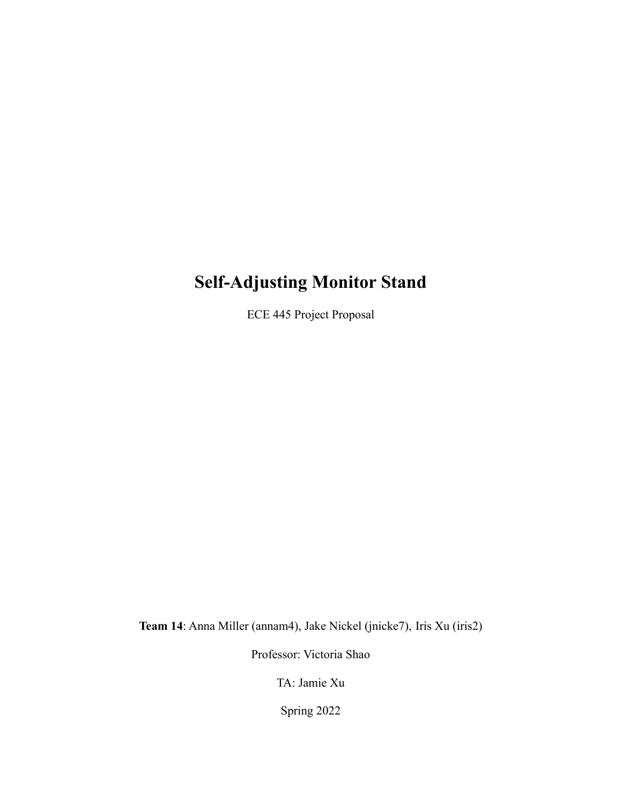# **Self-Adjusting Monitor Stand**

ECE 445 Project Proposal

**Team 14**: Anna Miller (annam4), Jake Nickel (jnicke7), Iris Xu (iris2)

Professor: Victoria Shao

TA: Jamie Xu

Spring 2022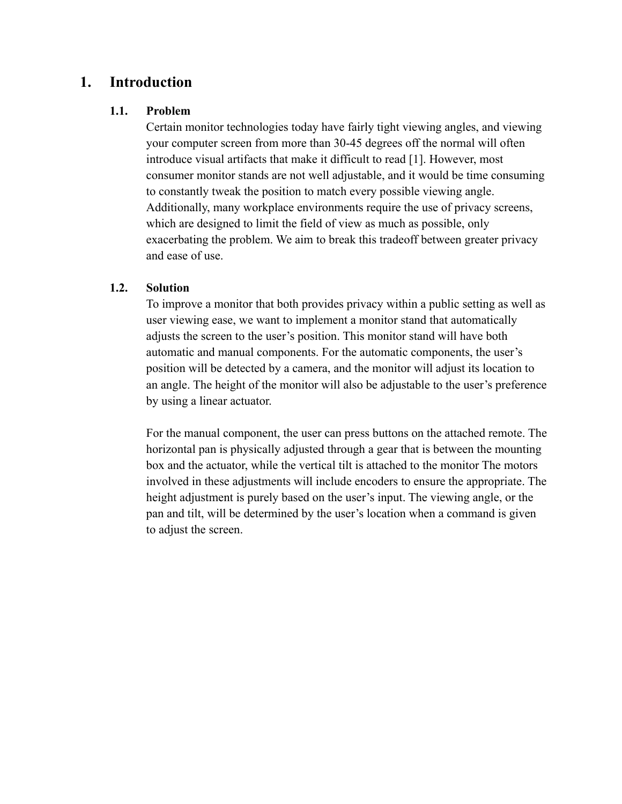# **1. Introduction**

#### **1.1. Problem**

Certain monitor technologies today have fairly tight viewing angles, and viewing your computer screen from more than 30-45 degrees off the normal will often introduce visual artifacts that make it difficult to read [1]. However, most consumer monitor stands are not well adjustable, and it would be time consuming to constantly tweak the position to match every possible viewing angle. Additionally, many workplace environments require the use of privacy screens, which are designed to limit the field of view as much as possible, only exacerbating the problem. We aim to break this tradeoff between greater privacy and ease of use.

#### **1.2. Solution**

To improve a monitor that both provides privacy within a public setting as well as user viewing ease, we want to implement a monitor stand that automatically adjusts the screen to the user's position. This monitor stand will have both automatic and manual components. For the automatic components, the user's position will be detected by a camera, and the monitor will adjust its location to an angle. The height of the monitor will also be adjustable to the user's preference by using a linear actuator.

For the manual component, the user can press buttons on the attached remote. The horizontal pan is physically adjusted through a gear that is between the mounting box and the actuator, while the vertical tilt is attached to the monitor The motors involved in these adjustments will include encoders to ensure the appropriate. The height adjustment is purely based on the user's input. The viewing angle, or the pan and tilt, will be determined by the user's location when a command is given to adjust the screen.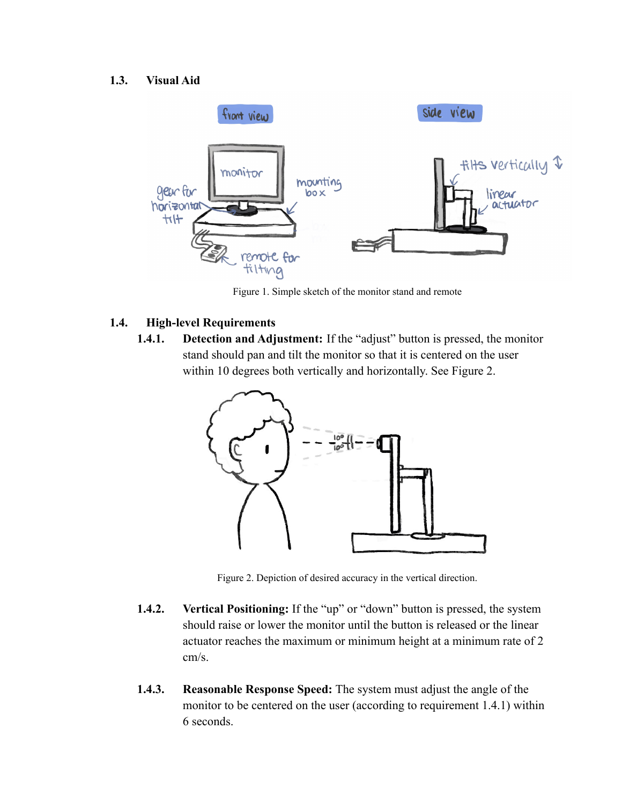#### **1.3. Visual Aid**



Figure 1. Simple sketch of the monitor stand and remote

#### **1.4. High-level Requirements**

**1.4.1. Detection and Adjustment:** If the "adjust" button is pressed, the monitor stand should pan and tilt the monitor so that it is centered on the user within 10 degrees both vertically and horizontally. See Figure 2.



Figure 2. Depiction of desired accuracy in the vertical direction.

- **1.4.2. Vertical Positioning:** If the "up" or "down" button is pressed, the system should raise or lower the monitor until the button is released or the linear actuator reaches the maximum or minimum height at a minimum rate of 2 cm/s.
- **1.4.3. Reasonable Response Speed:** The system must adjust the angle of the monitor to be centered on the user (according to requirement 1.4.1) within 6 seconds.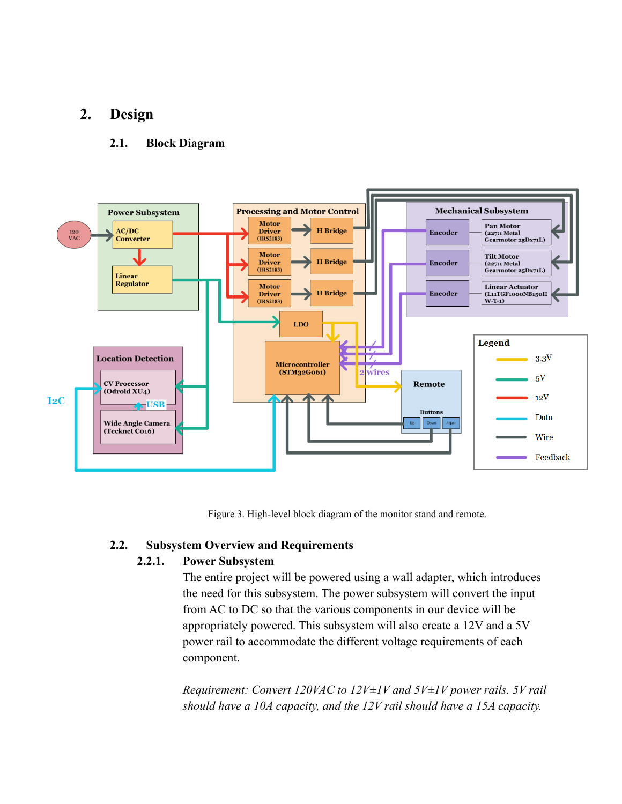### **2. Design**

#### **2.1. Block Diagram**



Figure 3. High-level block diagram of the monitor stand and remote.

#### **2.2. Subsystem Overview and Requirements**

#### **2.2.1. Power Subsystem**

The entire project will be powered using a wall adapter, which introduces the need for this subsystem. The power subsystem will convert the input from AC to DC so that the various components in our device will be appropriately powered. This subsystem will also create a 12V and a 5V power rail to accommodate the different voltage requirements of each component.

*Requirement: Convert 120VAC to 12V±1V and 5V±1V power rails. 5V rail should have a 10A capacity, and the 12V rail should have a 15A capacity.*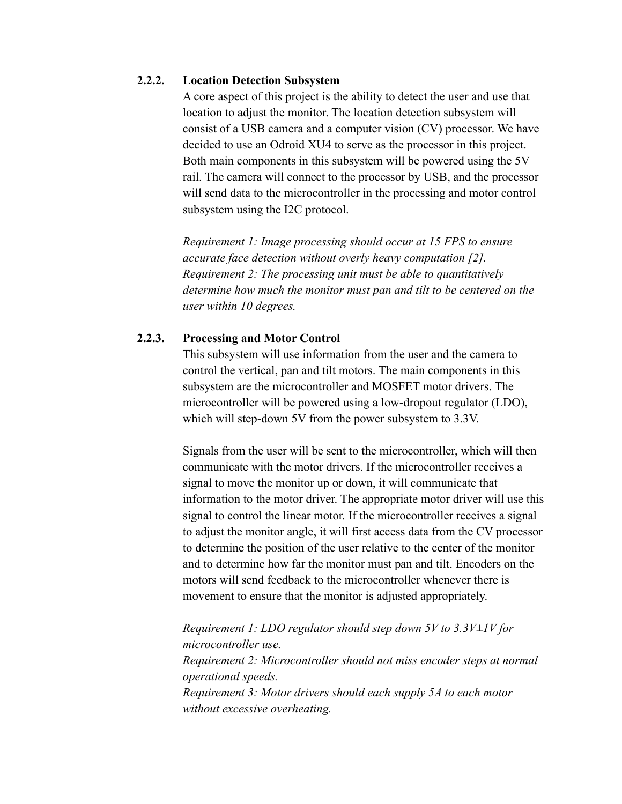#### **2.2.2. Location Detection Subsystem**

A core aspect of this project is the ability to detect the user and use that location to adjust the monitor. The location detection subsystem will consist of a USB camera and a computer vision (CV) processor. We have decided to use an Odroid XU4 to serve as the processor in this project. Both main components in this subsystem will be powered using the 5V rail. The camera will connect to the processor by USB, and the processor will send data to the microcontroller in the processing and motor control subsystem using the I2C protocol.

*Requirement 1: Image processing should occur at 15 FPS to ensure accurate face detection without overly heavy computation [2]. Requirement 2: The processing unit must be able to quantitatively determine how much the monitor must pan and tilt to be centered on the user within 10 degrees.*

#### **2.2.3. Processing and Motor Control**

This subsystem will use information from the user and the camera to control the vertical, pan and tilt motors. The main components in this subsystem are the microcontroller and MOSFET motor drivers. The microcontroller will be powered using a low-dropout regulator (LDO), which will step-down 5V from the power subsystem to 3.3V.

Signals from the user will be sent to the microcontroller, which will then communicate with the motor drivers. If the microcontroller receives a signal to move the monitor up or down, it will communicate that information to the motor driver. The appropriate motor driver will use this signal to control the linear motor. If the microcontroller receives a signal to adjust the monitor angle, it will first access data from the CV processor to determine the position of the user relative to the center of the monitor and to determine how far the monitor must pan and tilt. Encoders on the motors will send feedback to the microcontroller whenever there is movement to ensure that the monitor is adjusted appropriately.

*Requirement 1: LDO regulator should step down 5V to 3.3V±1V for microcontroller use. Requirement 2: Microcontroller should not miss encoder steps at normal operational speeds. Requirement 3: Motor drivers should each supply 5A to each motor without excessive overheating.*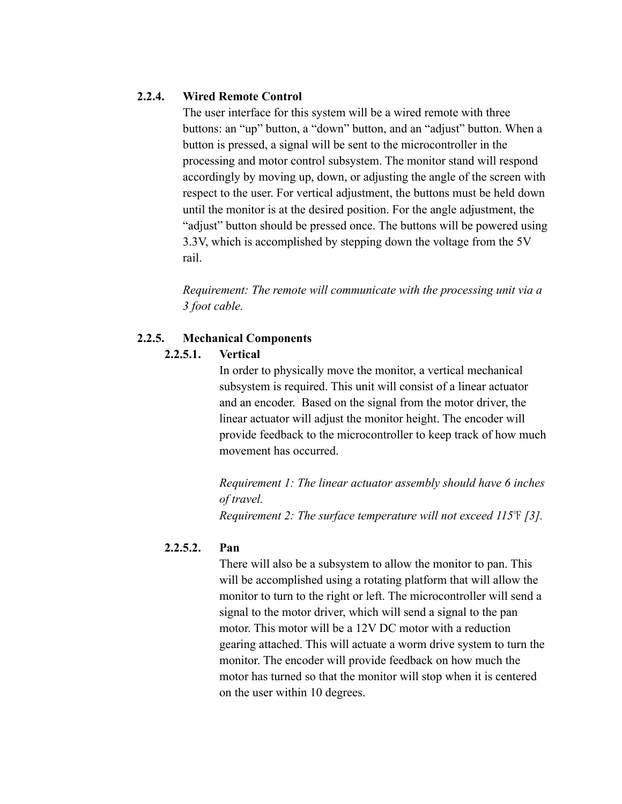#### **2.2.4. Wired Remote Control**

The user interface for this system will be a wired remote with three buttons: an "up" button, a "down" button, and an "adjust" button. When a button is pressed, a signal will be sent to the microcontroller in the processing and motor control subsystem. The monitor stand will respond accordingly by moving up, down, or adjusting the angle of the screen with respect to the user. For vertical adjustment, the buttons must be held down until the monitor is at the desired position. For the angle adjustment, the "adjust" button should be pressed once. The buttons will be powered using 3.3V, which is accomplished by stepping down the voltage from the 5V rail.

*Requirement: The remote will communicate with the processing unit via a 3 foot cable.*

#### **2.2.5. Mechanical Components**

#### **2.2.5.1. Vertical**

In order to physically move the monitor, a vertical mechanical subsystem is required. This unit will consist of a linear actuator and an encoder. Based on the signal from the motor driver, the linear actuator will adjust the monitor height. The encoder will provide feedback to the microcontroller to keep track of how much movement has occurred.

*Requirement 1: The linear actuator assembly should have 6 inches of travel.*

*Requirement 2: The surface temperature will not exceed 115*℉ *[3].*

#### **2.2.5.2. Pan**

There will also be a subsystem to allow the monitor to pan. This will be accomplished using a rotating platform that will allow the monitor to turn to the right or left. The microcontroller will send a signal to the motor driver, which will send a signal to the pan motor. This motor will be a 12V DC motor with a reduction gearing attached. This will actuate a worm drive system to turn the monitor. The encoder will provide feedback on how much the motor has turned so that the monitor will stop when it is centered on the user within 10 degrees.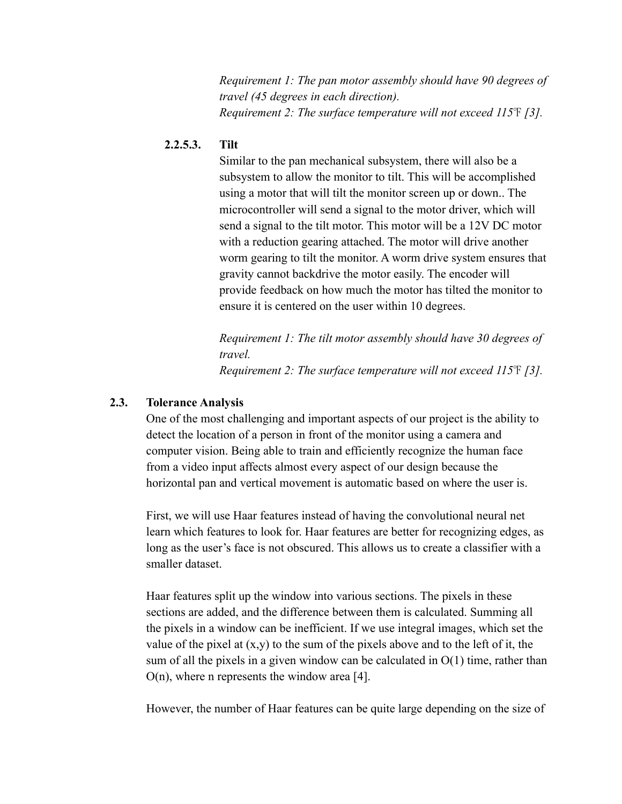*Requirement 1: The pan motor assembly should have 90 degrees of travel (45 degrees in each direction). Requirement 2: The surface temperature will not exceed 115*℉ *[3].*

#### **2.2.5.3. Tilt**

Similar to the pan mechanical subsystem, there will also be a subsystem to allow the monitor to tilt. This will be accomplished using a motor that will tilt the monitor screen up or down.. The microcontroller will send a signal to the motor driver, which will send a signal to the tilt motor. This motor will be a 12V DC motor with a reduction gearing attached. The motor will drive another worm gearing to tilt the monitor. A worm drive system ensures that gravity cannot backdrive the motor easily. The encoder will provide feedback on how much the motor has tilted the monitor to ensure it is centered on the user within 10 degrees.

*Requirement 1: The tilt motor assembly should have 30 degrees of travel. Requirement 2: The surface temperature will not exceed 115*℉ *[3].*

#### **2.3. Tolerance Analysis**

One of the most challenging and important aspects of our project is the ability to detect the location of a person in front of the monitor using a camera and computer vision. Being able to train and efficiently recognize the human face from a video input affects almost every aspect of our design because the horizontal pan and vertical movement is automatic based on where the user is.

First, we will use Haar features instead of having the convolutional neural net learn which features to look for. Haar features are better for recognizing edges, as long as the user's face is not obscured. This allows us to create a classifier with a smaller dataset.

Haar features split up the window into various sections. The pixels in these sections are added, and the difference between them is calculated. Summing all the pixels in a window can be inefficient. If we use integral images, which set the value of the pixel at  $(x,y)$  to the sum of the pixels above and to the left of it, the sum of all the pixels in a given window can be calculated in  $O(1)$  time, rather than  $O(n)$ , where n represents the window area [4].

However, the number of Haar features can be quite large depending on the size of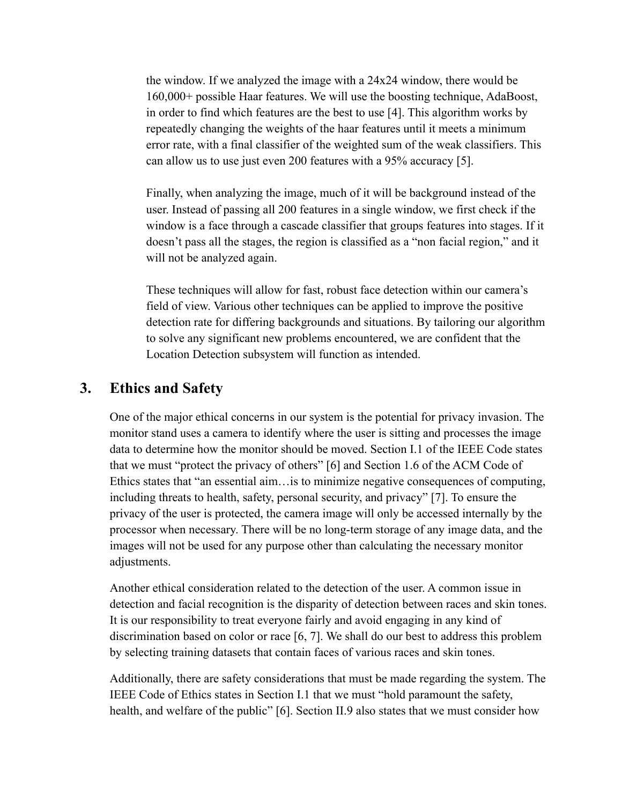the window. If we analyzed the image with a 24x24 window, there would be 160,000+ possible Haar features. We will use the boosting technique, AdaBoost, in order to find which features are the best to use [4]. This algorithm works by repeatedly changing the weights of the haar features until it meets a minimum error rate, with a final classifier of the weighted sum of the weak classifiers. This can allow us to use just even 200 features with a 95% accuracy [5].

Finally, when analyzing the image, much of it will be background instead of the user. Instead of passing all 200 features in a single window, we first check if the window is a face through a cascade classifier that groups features into stages. If it doesn't pass all the stages, the region is classified as a "non facial region," and it will not be analyzed again.

These techniques will allow for fast, robust face detection within our camera's field of view. Various other techniques can be applied to improve the positive detection rate for differing backgrounds and situations. By tailoring our algorithm to solve any significant new problems encountered, we are confident that the Location Detection subsystem will function as intended.

### **3. Ethics and Safety**

One of the major ethical concerns in our system is the potential for privacy invasion. The monitor stand uses a camera to identify where the user is sitting and processes the image data to determine how the monitor should be moved. Section I.1 of the IEEE Code states that we must "protect the privacy of others" [6] and Section 1.6 of the ACM Code of Ethics states that "an essential aim…is to minimize negative consequences of computing, including threats to health, safety, personal security, and privacy" [7]. To ensure the privacy of the user is protected, the camera image will only be accessed internally by the processor when necessary. There will be no long-term storage of any image data, and the images will not be used for any purpose other than calculating the necessary monitor adjustments.

Another ethical consideration related to the detection of the user. A common issue in detection and facial recognition is the disparity of detection between races and skin tones. It is our responsibility to treat everyone fairly and avoid engaging in any kind of discrimination based on color or race [6, 7]. We shall do our best to address this problem by selecting training datasets that contain faces of various races and skin tones.

Additionally, there are safety considerations that must be made regarding the system. The IEEE Code of Ethics states in Section I.1 that we must "hold paramount the safety, health, and welfare of the public" [6]. Section II.9 also states that we must consider how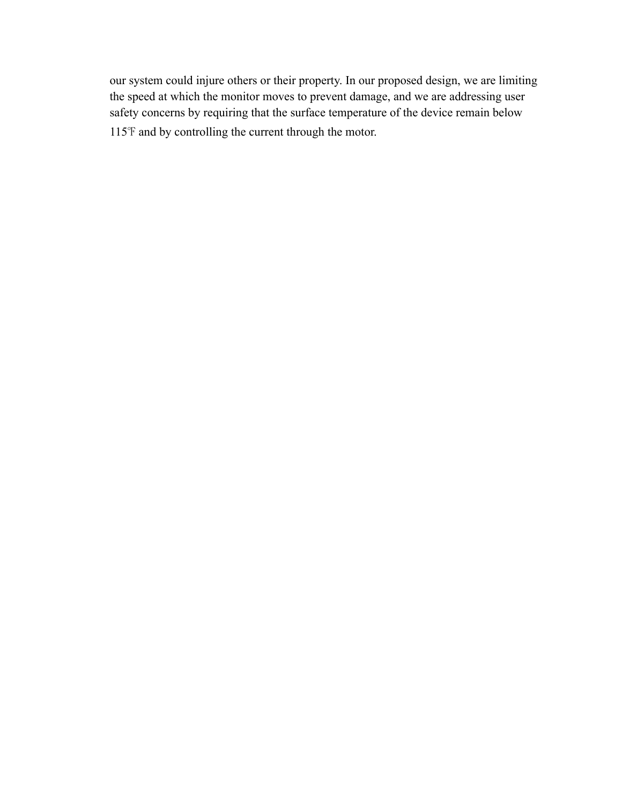our system could injure others or their property. In our proposed design, we are limiting the speed at which the monitor moves to prevent damage, and we are addressing user safety concerns by requiring that the surface temperature of the device remain below 115℉ and by controlling the current through the motor.